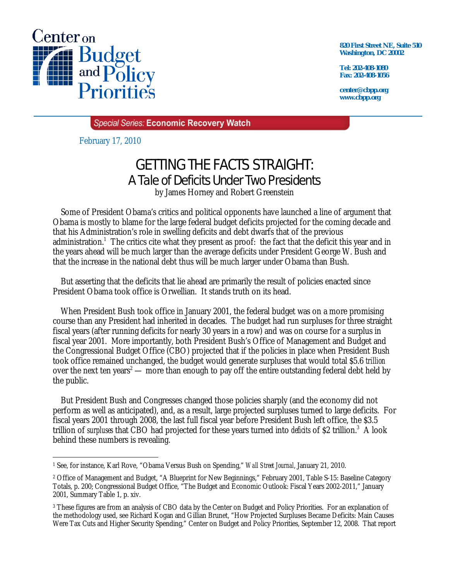

**820 First Street NE, Suite 510 Washington, DC 20002** 

**Tel: 202-408-1080 Fax: 202-408-1056** 

**center@cbpp.org www.cbpp.org** 

**Special Series: Economic Recovery Watch** 

February 17, 2010

## GETTING THE FACTS STRAIGHT: A Tale of Deficits Under Two Presidents

by James Horney and Robert Greenstein

 Some of President Obama's critics and political opponents have launched a line of argument that Obama is mostly to blame for the large federal budget deficits projected for the coming decade and that his Administration's role in swelling deficits and debt dwarfs that of the previous administration.<sup>1</sup> The critics cite what they present as proof: the fact that the deficit this year and in the years ahead will be much larger than the average deficits under President George W. Bush and that the increase in the national debt thus will be much larger under Obama than Bush.

 But asserting that the deficits that lie ahead are primarily the result of policies enacted since President Obama took office is Orwellian. It stands truth on its head.

 When President Bush took office in January 2001, the federal budget was on a more promising course than any President had inherited in decades. The budget had run surpluses for three straight fiscal years (after running deficits for nearly 30 years in a row) and was on course for a surplus in fiscal year 2001. More importantly, both President Bush's Office of Management and Budget and the Congressional Budget Office (CBO) projected that if the policies in place when President Bush took office remained unchanged, the budget would generate surpluses that would total \$5.6 *trillion* over the next ten years<sup>2</sup> — more than enough to pay off the entire outstanding federal debt held by the public.

 But President Bush and Congresses changed those policies sharply (and the economy did not perform as well as anticipated), and, as a result, large projected surpluses turned to large deficits. For fiscal years 2001 through 2008, the last full fiscal year before President Bush left office, the \$3.5 trillion of *surpluses* that CBO had projected for these years turned into *deficits* of \$2 trillion.3 A look behind these numbers is revealing.

<sup>-</sup>1 See, for instance, Karl Rove, "Obama Versus Bush on Spending," *Wall Street Journal*, January 21, 2010.

<sup>2</sup> Office of Management and Budget, "A Blueprint for New Beginnings," February 2001, Table S-15: Baseline Category Totals, p. 200; Congressional Budget Office, "The Budget and Economic Outlook: Fiscal Years 2002-2011," January 2001, Summary Table 1, p. xiv.

<sup>3</sup> These figures are from an analysis of CBO data by the Center on Budget and Policy Priorities. For an explanation of the methodology used, see Richard Kogan and Gillian Brunet, "How Projected Surpluses Became Deficits: Main Causes Were Tax Cuts and Higher Security Spending," Center on Budget and Policy Priorities, September 12, 2008. That report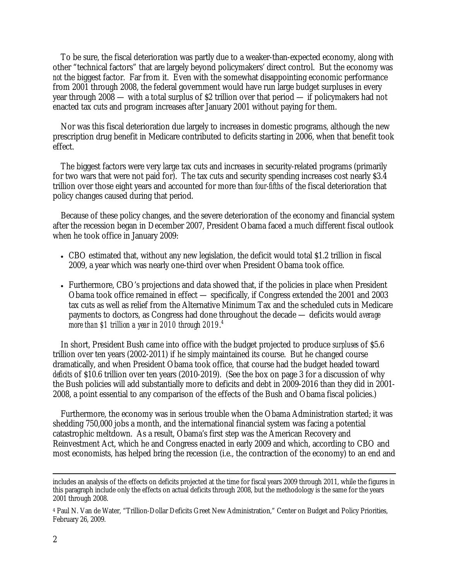To be sure, the fiscal deterioration was partly due to a weaker-than-expected economy, along with other "technical factors" that are largely beyond policymakers' direct control. But the economy was *not* the biggest factor. Far from it. Even with the somewhat disappointing economic performance from 2001 through 2008, the federal government would have run large budget surpluses in every year through 2008 — with a total surplus of \$2 trillion over that period — if policymakers had not enacted tax cuts and program increases after January 2001 without paying for them.

 Nor was this fiscal deterioration due largely to increases in domestic programs, although the new prescription drug benefit in Medicare contributed to deficits starting in 2006, when that benefit took effect.

 The biggest factors were very large tax cuts and increases in security-related programs (primarily for two wars that were not paid for). The tax cuts and security spending increases cost nearly \$3.4 trillion over those eight years and accounted for more than *four-fifths* of the fiscal deterioration that policy changes caused during that period.

 Because of these policy changes, and the severe deterioration of the economy and financial system after the recession began in December 2007, President Obama faced a much different fiscal outlook when he took office in January 2009:

- CBO estimated that, without any new legislation, the deficit would total \$1.2 trillion in fiscal 2009, a year which was nearly one-third over when President Obama took office.
- Furthermore, CBO's projections and data showed that, if the policies in place when President Obama took office remained in effect — specifically, if Congress extended the 2001 and 2003 tax cuts as well as relief from the Alternative Minimum Tax and the scheduled cuts in Medicare payments to doctors, as Congress had done throughout the decade — deficits would *average more than \$1 trillion a year in 2010 through 2019*. 4

 In short, President Bush came into office with the budget projected to produce *surpluses* of \$5.6 trillion over ten years (2002-2011) if he simply maintained its course. But he changed course dramatically, and when President Obama took office, that course had the budget headed toward *deficits* of \$10.6 trillion over ten years (2010-2019). (See the box on page 3 for a discussion of why the Bush policies will add substantially more to deficits and debt in 2009-2016 than they did in 2001- 2008, a point essential to any comparison of the effects of the Bush and Obama fiscal policies.)

 Furthermore, the economy was in serious trouble when the Obama Administration started; it was shedding 750,000 jobs a month, and the international financial system was facing a potential catastrophic meltdown. As a result, Obama's first step was the American Recovery and Reinvestment Act, which he and Congress enacted in early 2009 and which, according to CBO and most economists, has helped bring the recession (i.e., the contraction of the economy) to an end and

includes an analysis of the effects on deficits projected at the time for fiscal years 2009 through 2011, while the figures in this paragraph include only the effects on actual deficits through 2008, but the methodology is the same for the years 2001 through 2008.

<sup>4</sup> Paul N. Van de Water, "Trillion-Dollar Deficits Greet New Administration," Center on Budget and Policy Priorities, February 26, 2009.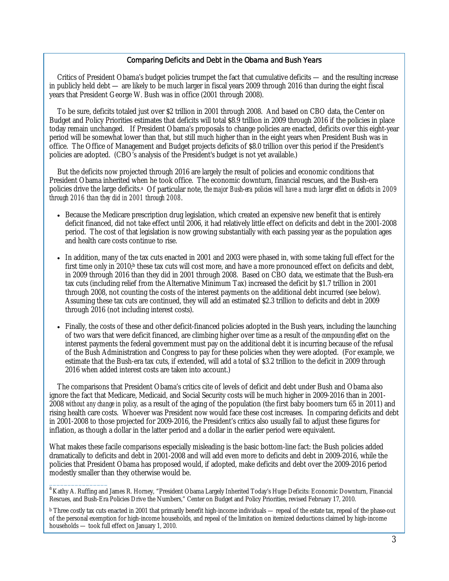## Comparing Deficits and Debt in the Obama and Bush Years

 Critics of President Obama's budget policies trumpet the fact that cumulative deficits — and the resulting increase in publicly held debt — are likely to be much larger in fiscal years 2009 through 2016 than during the eight fiscal years that President George W. Bush was in office (2001 through 2008).

 To be sure, deficits totaled just over \$2 trillion in 2001 through 2008. And based on CBO data, the Center on Budget and Policy Priorities estimates that deficits will total \$8.9 trillion in 2009 through 2016 if the policies in place today remain unchanged. If President Obama's proposals to change policies are enacted, deficits over this eight-year period will be somewhat lower than that, but still much higher than in the eight years when President Bush was in office. The Office of Management and Budget projects deficits of \$8.0 trillion over this period if the President's policies are adopted. (CBO's analysis of the President's budget is not yet available.)

 But the deficits now projected through 2016 are largely the result of policies and economic conditions that President Obama inherited when he took office. The economic downturn, financial rescues, and the Bush-era policies drive the large deficits.<sup>a</sup> Of particular note, *the major Bush-era policies will have a much larger effect on deficits in 2009 through 2016 than they did in 2001 through 2008*.

- Because the Medicare prescription drug legislation, which created an expensive new benefit that is entirely deficit financed, did not take effect until 2006, it had relatively little effect on deficits and debt in the 2001-2008 period. The cost of that legislation is now growing substantially with each passing year as the population ages and health care costs continue to rise.
- In addition, many of the tax cuts enacted in 2001 and 2003 were phased in, with some taking full effect for the first time only in 2010;<sup>b</sup> these tax cuts will cost more, and have a more pronounced effect on deficits and debt, in 2009 through 2016 than they did in 2001 through 2008. Based on CBO data, we estimate that the Bush-era tax cuts (including relief from the Alternative Minimum Tax) increased the deficit by \$1.7 trillion in 2001 through 2008, not counting the costs of the interest payments on the additional debt incurred (see below). Assuming these tax cuts are continued, they will add an estimated \$2.3 trillion to deficits and debt in 2009 through 2016 (not including interest costs).
- Finally, the costs of these and other deficit-financed policies adopted in the Bush years, including the launching of two wars that were deficit financed, are climbing higher over time as a result of the *compounding effect* on the interest payments the federal government must pay on the additional debt it is incurring because of the refusal of the Bush Administration and Congress to pay for these policies when they were adopted. (For example, we estimate that the Bush-era tax cuts, if extended, will add a total of \$3.2 trillion to the deficit in 2009 through 2016 when added interest costs are taken into account.)

 The comparisons that President Obama's critics cite of levels of deficit and debt under Bush and Obama also ignore the fact that Medicare, Medicaid, and Social Security costs will be much higher in 2009-2016 than in 2001- 2008 *without any change in policy,* as a result of the aging of the population (the first baby boomers turn 65 in 2011) and rising health care costs. Whoever was President now would face these cost increases. In comparing deficits and debt in 2001-2008 to those projected for 2009-2016, the President's critics also usually fail to adjust these figures for inflation, as though a dollar in the latter period and a dollar in the earlier period were equivalent.

What makes these facile comparisons especially misleading is the basic bottom-line fact: the Bush policies added dramatically to deficits and debt in 2001-2008 and will add even more to deficits and debt in 2009-2016, while the policies that President Obama has proposed would, if adopted, make deficits and debt over the 2009-2016 period modestly smaller than they otherwise would be.

 $\overline{\phantom{a}}$ 

<sup>&</sup>lt;sup>a</sup> Kathy A. Ruffing and James R. Horney, "President Obama Largely Inherited Today's Huge Deficits: Economic Downturn, Financial Rescues, and Bush-Era Policies Drive the Numbers," Center on Budget and Policy Priorities, revised February 17, 2010.

 $\rm^b$  Three costly tax cuts enacted in 2001 that primarily benefit high-income individuals — repeal of the estate tax, repeal of the phase-out of the personal exemption for high-income households, and repeal of the limitation on itemized deductions claimed by high-income households — took full effect on January 1, 2010.